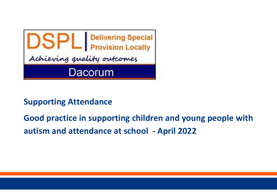

# **Supporting Attendance**

**Good practice in supporting children and young people with autism and attendance at school - April 2022**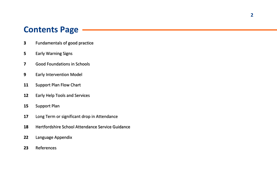# **Contents Page**

- Fundamentals of good practice
- Early Warning Signs
- Good Foundations in Schools
- Early Intervention Model
- Support Plan Flow Chart
- Early Help Tools and Services
- Support Plan
- Long Term or significant drop in Attendance
- Hertfordshire School Attendance Service Guidance
- Language Appendix
- References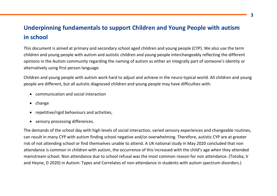# **Underpinning fundamentals to support Children and Young People with autism in school**

This document is aimed at primary and secondary school aged children and young people (CYP). We also use the term children and young people with autism and autistic children and young people interchangeably reflecting the different opinions in the Autism community regarding the naming of autism as either an integrally part of someone's identity or alternatively using first person language.

Children and young people with autism work hard to adjust and achieve in the neuro-typical world. All children and young people are different, but all autistic diagnosed children and young people may have difficulties with:

- communication and social interaction
- $\bullet$  change
- repetitive/rigid behaviours and activities,
- sensory processing differences.

The demands of the school day with high levels of social interaction, varied sensory experiences and changeable routines, can result in many CYP with autism finding school negative and/or overwhelming. Therefore, autistic CYP are at greater risk of not attending school or find themselves unable to attend. A UK national study in May 2020 concluded that non attendance is common in children with autism, the occurrence of this increased with the child's age when they attended mainstream school. Non attendance due to school refusal was the most common reason for non attendance. (Totsika, V and Heyne, D 2020) in Autism: Types and Correlates of non-attendance in students with autism spectrum disorders.)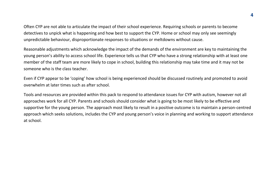Often CYP are not able to articulate the impact of their school experience. Requiring schools or parents to become detectives to unpick what is happening and how best to support the CYP. Home or school may only see seemingly unpredictable behaviour, disproportionate responses to situations or meltdowns without cause.

Reasonable adjustments which acknowledge the impact of the demands of the environment are key to maintaining the young person's ability to access school life. Experience tells us that CYP who have a strong relationship with at least one member of the staff team are more likely to cope in school, building this relationship may take time and it may not be someone who is the class teacher.

Even if CYP appear to be 'coping' how school is being experienced should be discussed routinely and promoted to avoid overwhelm at later times such as after school.

Tools and resources are provided within this pack to respond to attendance issues for CYP with autism, however not all approaches work for all CYP. Parents and schools should consider what is going to be most likely to be effective and supportive for the young person. The approach most likely to result in a positive outcome is to maintain a person-centred approach which seeks solutions, includes the CYP and young person's voice in planning and working to support attendance at school.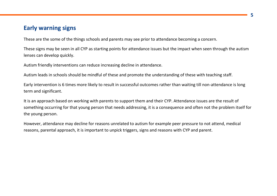## **Early warning signs**

These are the some of the things schools and parents may see prior to attendance becoming a concern.

These signs may be seen in all CYP as starting points for attendance issues but the impact when seen through the autism lenses can develop quickly.

Autism friendly interventions can reduce increasing decline in attendance.

Autism leads in schools should be mindful of these and promote the understanding of these with teaching staff.

Early intervention is 6 times more likely to result in successful outcomes rather than waiting till non-attendance is long term and significant.

It is an approach based on working with parents to support them and their CYP. Attendance issues are the result of something occurring for that young person that needs addressing, it is a consequence and often not the problem itself for the young person.

However, attendance may decline for reasons unrelated to autism for example peer pressure to not attend, medical reasons, parental approach, it is important to unpick triggers, signs and reasons with CYP and parent.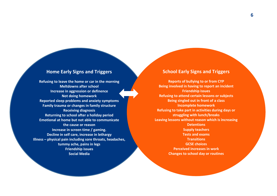### **Home Early Signs and Triggers**

**Refusing to leave the home or car in the morning Meltdowns after school Increase in aggression or definence Not doing homework Reported sleep problems and anxiety symptoms Family trauma or changes in family structure Receiving diagnosis Returning to school after a holiday period Emotional at home but not able to communicate the cause or reason Increase in screen time / gaming. Decline in self care, increase in lethargy Illness – physical pain including sore throats, headaches, tummy ache, pains in legs Friendship issues Social Media**

### **School Early Signs and Triggers**

**Reports of bullying to or from CYP Being involved in having to report an incident Friendship issues Refusing to attend certain lessons or subjects Being singled out in front of a class Incomplete homework Refusing to take part in activities during days or struggling with lunch/breaks Leaving lessons without reason which is increasing Detentions Supply teachers Tests and exams Transitions GCSE choices Perceived increases in work Changes to school day or routines**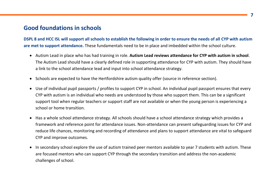## **Good foundations in schools**

**DSPL 8 and HCC ISL will support all schools to establish the following in order to ensure the needs of all CYP with autism are met to support attendance.** These fundamentals need to be in place and imbedded within the school culture.

- Autism Lead in place who has had training in role. **Autism Lead reviews attendance for CYP with autism in school**. The Autism Lead should have a clearly defined role in supporting attendance for CYP with autism. They should have a link to the school attendance lead and input into school attendance strategy.
- Schools are expected to have the Hertfordshire autism quality offer (source in reference section).
- Use of individual pupil passports / profiles to support CYP in school. An individual pupil passport ensures that every CYP with autism is an individual who needs are understood by those who support them. This can be a significant support tool when regular teachers or support staff are not available or when the young person is experiencing a school or home transition.
- Has a whole school attendance strategy. All schools should have a school attendance strategy which provides a framework and reference point for attendance issues. Non-attendance can present safeguarding issues for CYP and reduce life chances, monitoring and recording of attendance and plans to support attendance are vital to safeguard CYP and improve outcomes.
- In secondary school explore the use of autism trained peer mentors available to year 7 students with autism. These are focused mentors who can support CYP through the secondary transition and address the non-academic challenges of school.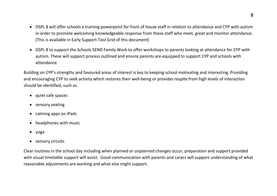- DSPL 8 will offer schools a training powerpoint for front of house staff in relation to attendance and CYP with autism in order to promote welcoming knowledgeable response from those staff who meet, greet and monitor attendance. (This is available in Early Support Tool Grid of this document)
- DSPL 8 to support the Schools SEND Family Work to offer workshops to parents looking at attendance for CYP with autism. These will support process outlined and ensure parents are equipped to support CYP and schools with attendance.

Building on CYP's strengths and favoured areas of interest is key to keeping school motivating and interesting. Providing and encouraging CYP to seek activity which restores their well-being or provides respite from high levels of interaction should be identified, such as.

- quiet safe spaces
- sensory seating
- calming apps on iPads
- headphones with music
- yoga
- sensory circuits

Clear routines in the school day including when planned or unplanned changes occur, preparation and support provided with visual timetable support will assist. Good communication with parents and carers will support understanding of what reasonable adjustments are working and what else might support.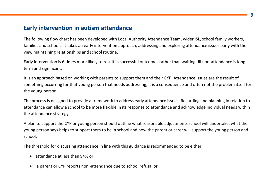### **Early intervention in autism attendance**

The following flow chart has been developed with Local Authority Attendance Team, wider ISL, school family workers, families and schools. It takes an early intervention approach, addressing and exploring attendance issues early with the view maintaining relationships and school routine.

Early intervention is 6 times more likely to result in successful outcomes rather than waiting till non-attendance is long term and significant.

It is an approach based on working with parents to support them and their CYP. Attendance issues are the result of something occurring for that young person that needs addressing, it is a consequence and often not the problem itself for the young person.

The process is designed to provide a framework to address early attendance issues. Recording and planning in relation to attendance can allow a school to be more flexible in its response to attendance and acknowledge individual needs within the attendance strategy.

A plan to support the CYP or young person should outline what reasonable adjustments school will undertake, what the young person says helps to support them to be in school and how the parent or carer will support the young person and school.

The threshold for discussing attendance in line with this guidance is recommended to be either

- attendance at less than 94% or
- a parent or CYP reports non -attendance due to school refusal or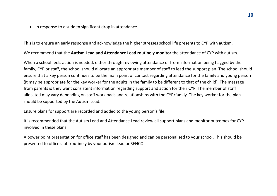• in response to a sudden significant drop in attendance.

This is to ensure an early response and acknowledge the higher stresses school life presents to CYP with autism.

We recommend that the **Autism Lead and Attendance Lead routinely monitor** the attendance of CYP with autism.

When a school feels action is needed, either through reviewing attendance or from information being flagged by the family, CYP or staff, the school should allocate an appropriate member of staff to lead the support plan. The school should ensure that a key person continues to be the main point of contact regarding attendance for the family and young person (it may be appropriate for the key worker for the adults in the family to be different to that of the child). The message from parents is they want consistent information regarding support and action for their CYP. The member of staff allocated may vary depending on staff workloads and relationships with the CYP/family. The key worker for the plan should be supported by the Autism Lead.

Ensure plans for support are recorded and added to the young person's file.

It is recommended that the Autism Lead and Attendance Lead review all support plans and monitor outcomes for CYP involved in these plans.

A power point presentation for office staff has been designed and can be personalised to your school. This should be presented to office staff routinely by your autism lead or SENCO.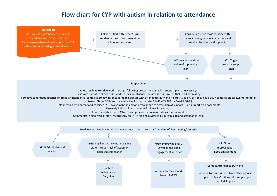## **Flow chart for CYP with autism in relation to attendance**

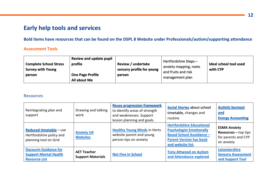# **Early help tools and services**

**Bold items have resources that can be found on the DSPL 8 Website under Professionals/autism/supporting attendance**

### **Assessment Tools**

| Review and update pupil<br><b>Complete School Stress</b><br>profile<br><b>Survey with Young</b><br><b>One Page Profile</b><br>person<br>All about Me | <b>Review / undertake</b><br>sensory profile for young<br>person | Hertfordshire Steps-<br>anxiety mapping, roots<br>and fruits and risk<br>management plan | Ideal school tool used<br>with CYP |
|------------------------------------------------------------------------------------------------------------------------------------------------------|------------------------------------------------------------------|------------------------------------------------------------------------------------------|------------------------------------|
|------------------------------------------------------------------------------------------------------------------------------------------------------|------------------------------------------------------------------|------------------------------------------------------------------------------------------|------------------------------------|

#### **Resources**

| Reintegrating plan and<br>support                                                   | Drawing and talking<br>work                    | <b>Reuse progression framework</b><br>to identify areas of strength<br>and weaknesses. Support<br>lesson planning and goals. | <b>Social Stories about school</b><br>timetable, changes and<br>routine                                                                                       | <b>Autistic burnout</b><br><u>and</u><br><b>Energy Accounting</b>                  |
|-------------------------------------------------------------------------------------|------------------------------------------------|------------------------------------------------------------------------------------------------------------------------------|---------------------------------------------------------------------------------------------------------------------------------------------------------------|------------------------------------------------------------------------------------|
| <b>Reduced timetable - use</b><br>Hertfordshire policy and<br>planning tool on Grid | <b>Anxiety UK</b><br><b>Websites</b>           | <b>Healthy Young Minds in Herts</b><br>website parent and young<br>person tips on anxiety                                    | <b>Hertfordshire Educational</b><br><b>Psychologist Emotionally</b><br><b>Based School Avoidance -</b><br><b>Parent Version has book</b><br>and website list. | <b>ESMA Anxiety</b><br>$Resources - top tips$<br>for parents and CYP<br>on anxiety |
| <b>Dacourm Guidance for</b><br><b>Support Mental Health</b><br><b>Resource List</b> | <b>AET Teacher</b><br><b>Support Materials</b> | <b>Not Fine In School</b>                                                                                                    | <b>Tony Attwood on Autism</b><br>and Attendance explored                                                                                                      | Leicestershire<br><b>Sensory Assessment</b><br>and Support Tool                    |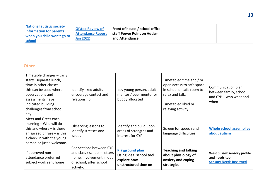| staff Power Point on Autism<br><b>Attendance Report</b><br>when you child won't go to<br><b>Jan 2022</b><br>and Attendance<br>school | <b>National autistic society</b><br>information for parents | <b>Ofsted Review of</b> | Front of house / school office |  |  |
|--------------------------------------------------------------------------------------------------------------------------------------|-------------------------------------------------------------|-------------------------|--------------------------------|--|--|
|--------------------------------------------------------------------------------------------------------------------------------------|-------------------------------------------------------------|-------------------------|--------------------------------|--|--|

### **Other**

| Timetable changes - Early<br>starts, separate lunch,<br>time in other classes $-$<br>this can be used where<br>observations and<br>assessments have<br>indicated building<br>challenges from school<br>day | Identify liked adults<br>encourage contact and<br>relationship                                                              | Key young person, adult<br>mentor / peer mentor or<br>buddy allocated                    | Timetabled time and / or<br>open access to safe space<br>in school or safe room to<br>relax and talk.<br>Timetabled liked or<br>relaxing activity. | Communication plan<br>between family, school<br>and CYP – who what and<br>when        |
|------------------------------------------------------------------------------------------------------------------------------------------------------------------------------------------------------------|-----------------------------------------------------------------------------------------------------------------------------|------------------------------------------------------------------------------------------|----------------------------------------------------------------------------------------------------------------------------------------------------|---------------------------------------------------------------------------------------|
| Meet and Greet each<br>morning - Who will do<br>this and where $-$ is there<br>an agreed phrase $-$ is this<br>a check in with the young<br>person or just a welcome.                                      | Observing lessons to<br>identify stresses and<br><i>issues</i>                                                              | Identify and build upon<br>areas of strengths and<br>interest for CYP                    | Screen for speech and<br>language difficulties                                                                                                     | <b>Whole school assemblies</b><br>about autism                                        |
| If approved non-<br>attendance preferred<br>subject work sent home                                                                                                                                         | Connections between CYP<br>and class / school - letters<br>home, involvement in out<br>of school, after school<br>activity. | <b>Playground plan</b><br>Using ideal school tool<br>explore how<br>unstructured time on | <b>Teaching and talking</b><br>about physiology of<br>anxiety and coping<br>strategies                                                             | <b>West Sussex sensory profile</b><br>and needs tool<br><b>Sensory Needs Reviewed</b> |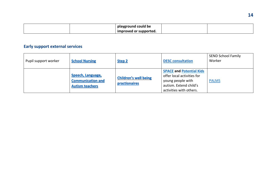|  | playground could be       |  |
|--|---------------------------|--|
|  | improved or<br>supported. |  |

# **Early support external services**

| Pupil support worker | <b>School Nursing</b>                                                          | Step 2                                               | <b>DESC consultation</b>                                                                                                                | <b>SEND School Family</b><br>Worker |
|----------------------|--------------------------------------------------------------------------------|------------------------------------------------------|-----------------------------------------------------------------------------------------------------------------------------------------|-------------------------------------|
|                      | <b>Speech, Language,</b><br><b>Communication and</b><br><b>Autism teachers</b> | <b>Children's well being</b><br><b>practionaires</b> | <b>SPACE and Potential Kids</b><br>offer local activities for<br>young people with<br>autism. Extend child's<br>activities with others. | <b>PALMS</b>                        |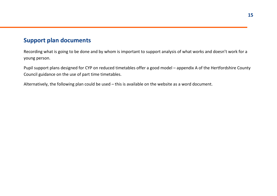# **Support plan documents**

Recording what is going to be done and by whom is important to support analysis of what works and doesn't work for a young person.

Pupil support plans designed for CYP on reduced timetables offer a good model – appendix A of the Hertfordshire County Council guidance on the use of part time timetables.

Alternatively, the following plan could be used – this is available on the website as a word document.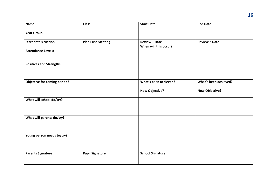| Name:                           | Class:                    | <b>Start Date:</b>                            | <b>End Date</b>       |
|---------------------------------|---------------------------|-----------------------------------------------|-----------------------|
| <b>Year Group:</b>              |                           |                                               |                       |
| <b>Start date situation:</b>    | <b>Plan First Meeting</b> | <b>Review 1 Date</b><br>When will this occur? | <b>Review 2 Date</b>  |
| <b>Attendance Levels:</b>       |                           |                                               |                       |
|                                 |                           |                                               |                       |
| <b>Positives and Strengths:</b> |                           |                                               |                       |
|                                 |                           |                                               |                       |
| Objective for coming period?    |                           | What's been achieved?                         | What's been achieved? |
|                                 |                           | <b>New Objective?</b>                         | <b>New Objective?</b> |
| What will school do/try?        |                           |                                               |                       |
|                                 |                           |                                               |                       |
| What will parents do/try?       |                           |                                               |                       |
|                                 |                           |                                               |                       |
| Young person needs to/try?      |                           |                                               |                       |
|                                 |                           |                                               |                       |
| <b>Parents Signature</b>        | <b>Pupil Signature</b>    | <b>School Signature</b>                       |                       |
|                                 |                           |                                               |                       |
|                                 |                           |                                               |                       |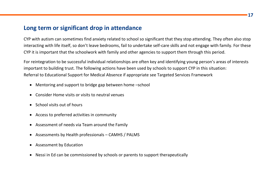## **Long term or significant drop in attendance**

CYP with autism can sometimes find anxiety related to school so significant that they stop attending. They often also stop interacting with life itself, so don't leave bedrooms, fail to undertake self-care skills and not engage with family. For these CYP it is important that the schoolwork with family and other agencies to support them through this period.

For reintegration to be successful individual relationships are often key and identifying young person's areas of interests important to building trust. The following actions have been used by schools to support CYP in this situation: Referral to Educational Support for Medical Absence if appropriate see Targeted Services Framework

- Mentoring and support to bridge gap between home –school
- Consider Home visits or visits to neutral venues
- School visits out of hours
- Access to preferred activities in community
- Assessment of needs via Team around the Family
- Assessments by Health professionals CAMHS / PALMS
- Assessment by Education
- Nessi in Ed can be commissioned by schools or parents to support therapeutically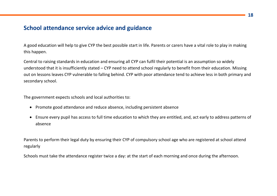## **School attendance service advice and guidance**

A good education will help to give CYP the best possible start in life. Parents or carers have a vital role to play in making this happen.

Central to raising standards in education and ensuring all CYP can fulfil their potential is an assumption so widely understood that it is insufficiently stated – CYP need to attend school regularly to benefit from their education. Missing out on lessons leaves CYP vulnerable to falling behind. CYP with poor attendance tend to achieve less in both primary and secondary school.

The government expects schools and local authorities to:

- Promote good attendance and reduce absence, including persistent absence
- Ensure every pupil has access to full time education to which they are entitled, and, act early to address patterns of absence

Parents to perform their legal duty by ensuring their CYP of compulsory school age who are registered at school attend regularly

Schools must take the attendance register twice a day: at the start of each morning and once during the afternoon.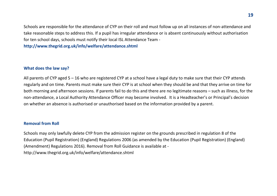Schools are responsible for the attendance of CYP on their roll and must follow up on all instances of non-attendance and take reasonable steps to address this. If a pupil has irregular attendance or is absent continuously without authorisation for ten school days, schools must notify their local ISL Attendance Team -

**<http://www.thegrid.org.uk/info/welfare/attendance.shtml>**

### **What does the law say?**

All parents of CYP aged 5 – 16 who are registered CYP at a school have a legal duty to make sure that their CYP attends regularly and on time. Parents must make sure their CYP is at school when they should be and that they arrive on time for both morning and afternoon sessions. If parents fail to do this and there are no legitimate reasons – such as illness, for the non-attendance, a Local Authority Attendance Officer may become involved. It is a Headteacher's or Principal's decision on whether an absence is authorised or unauthorised based on the information provided by a parent.

#### **Removal from Roll**

Schools may only lawfully delete CYP from the admission register on the grounds prescribed in regulation 8 of the Education (Pupil Registration) (England) Regulations 2006 (as amended by the Education (Pupil Registration) (England) (Amendment) Regulations 2016). Removal from Roll Guidance is available at http://www.thegrid.org.uk/info/welfare/attendance.shtml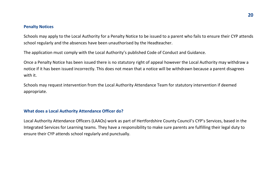#### **Penalty Notices**

Schools may apply to the Local Authority for a Penalty Notice to be issued to a parent who fails to ensure their CYP attends school regularly and the absences have been unauthorised by the Headteacher.

The application must comply with the Local Authority's published Code of Conduct and Guidance.

Once a Penalty Notice has been issued there is no statutory right of appeal however the Local Authority may withdraw a notice if it has been issued incorrectly. This does not mean that a notice will be withdrawn because a parent disagrees with it.

Schools may request intervention from the Local Authority Attendance Team for statutory intervention if deemed appropriate.

#### **What does a Local Authority Attendance Officer do?**

Local Authority Attendance Officers (LAAOs) work as part of Hertfordshire County Council's CYP's Services, based in the Integrated Services for Learning teams. They have a responsibility to make sure parents are fulfilling their legal duty to ensure their CYP attends school regularly and punctually.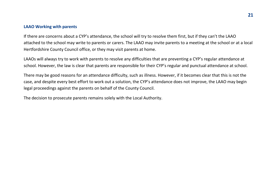#### **LAAO Working with parents**

If there are concerns about a CYP's attendance, the school will try to resolve them first, but if they can't the LAAO attached to the school may write to parents or carers. The LAAO may invite parents to a meeting at the school or at a local Hertfordshire County Council office, or they may visit parents at home.

LAAOs will always try to work with parents to resolve any difficulties that are preventing a CYP's regular attendance at school. However, the law is clear that parents are responsible for their CYP's regular and punctual attendance at school.

There may be good reasons for an attendance difficulty, such as illness. However, if it becomes clear that this is not the case, and despite every best effort to work out a solution, the CYP's attendance does not improve, the LAAO may begin legal proceedings against the parents on behalf of the County Council.

The decision to prosecute parents remains solely with the Local Authority.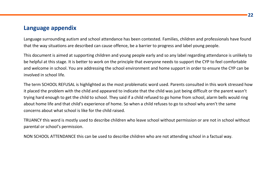## **Language appendix**

Language surrounding autism and school attendance has been contested. Families, children and professionals have found that the way situations are described can cause offence, be a barrier to progress and label young people.

This document is aimed at supporting children and young people early and so any label regarding attendance is unlikely to be helpful at this stage. It is better to work on the principle that everyone needs to support the CYP to feel comfortable and welcome in school. You are addressing the school environment and home support in order to ensure the CYP can be involved in school life.

The term SCHOOL REFUSAL is highlighted as the most problematic word used. Parents consulted in this work stressed how it placed the problem with the child and appeared to indicate that the child was just being difficult or the parent wasn't trying hard enough to get the child to school. They said if a child refused to go home from school, alarm bells would ring about home life and that child's experience of home. So when a child refuses to go to school why aren't the same concerns about what school is like for the child raised.

TRUANCY this word is mostly used to describe children who leave school without permission or are not in school without parental or school's permission.

NON SCHOOL ATTENDANCE this can be used to describe children who are not attending school in a factual way.